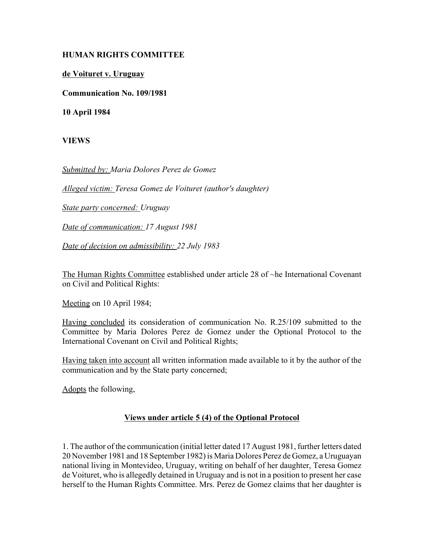## **HUMAN RIGHTS COMMITTEE**

## **de Voituret v. Uruguay**

**Communication No. 109/1981**

**10 April 1984**

**VIEWS**

*Submitted by: Maria Dolores Perez de Gomez* 

*Alleged victim: Teresa Gomez de Voituret (author's daughter)* 

*State party concerned: Uruguay* 

*Date of communication: 17 August 1981* 

*Date of decision on admissibility: 22 July 1983* 

The Human Rights Committee established under article 28 of ~he International Covenant on Civil and Political Rights:

Meeting on 10 April 1984;

Having concluded its consideration of communication No. R.25/109 submitted to the Committee by Maria Dolores Perez de Gomez under the Optional Protocol to the International Covenant on Civil and Political Rights;

Having taken into account all written information made available to it by the author of the communication and by the State party concerned;

Adopts the following,

## **Views under article 5 (4) of the Optional Protocol**

1. The author of the communication (initial letter dated 17 August 1981, further letters dated 20 November 1981 and 18 September 1982) is Maria Dolores Perez de Gomez, a Uruguayan national living in Montevideo, Uruguay, writing on behalf of her daughter, Teresa Gomez de Voituret, who is allegedly detained in Uruguay and is not in a position to present her case herself to the Human Rights Committee. Mrs. Perez de Gomez claims that her daughter is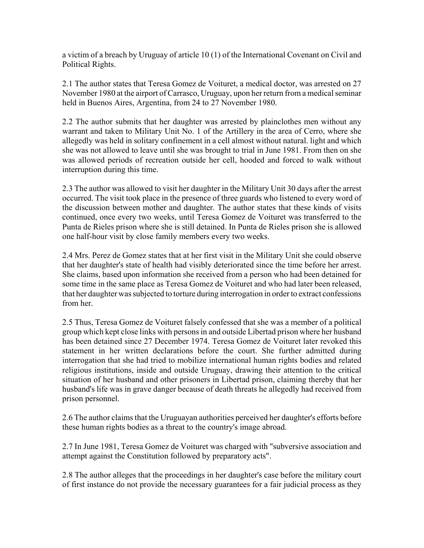a victim of a breach by Uruguay of article 10 (1) of the International Covenant on Civil and Political Rights.

2.1 The author states that Teresa Gomez de Voituret, a medical doctor, was arrested on 27 November 1980 at the airport of Carrasco, Uruguay, upon her return from a medical seminar held in Buenos Aires, Argentina, from 24 to 27 November 1980.

2.2 The author submits that her daughter was arrested by plainclothes men without any warrant and taken to Military Unit No. 1 of the Artillery in the area of Cerro, where she allegedly was held in solitary confinement in a cell almost without natural. light and which she was not allowed to leave until she was brought to trial in June 1981. From then on she was allowed periods of recreation outside her cell, hooded and forced to walk without interruption during this time.

2.3 The author was allowed to visit her daughter in the Military Unit 30 days after the arrest occurred. The visit took place in the presence of three guards who listened to every word of the discussion between mother and daughter. The author states that these kinds of visits continued, once every two weeks, until Teresa Gomez de Voituret was transferred to the Punta de Rieles prison where she is still detained. In Punta de Rieles prison she is allowed one half-hour visit by close family members every two weeks.

2.4 Mrs. Perez de Gomez states that at her first visit in the Military Unit she could observe that her daughter's state of health had visibly deteriorated since the time before her arrest. She claims, based upon information she received from a person who had been detained for some time in the same place as Teresa Gomez de Voituret and who had later been released, that her daughter was subjected to torture during interrogation in order to extract confessions from her.

2.5 Thus, Teresa Gomez de Voituret falsely confessed that she was a member of a political group which kept close links with persons in and outside Libertad prison where her husband has been detained since 27 December 1974. Teresa Gomez de Voituret later revoked this statement in her written declarations before the court. She further admitted during interrogation that she had tried to mobilize international human rights bodies and related religious institutions, inside and outside Uruguay, drawing their attention to the critical situation of her husband and other prisoners in Libertad prison, claiming thereby that her husband's life was in grave danger because of death threats he allegedly had received from prison personnel.

2.6 The author claims that the Uruguayan authorities perceived her daughter's efforts before these human rights bodies as a threat to the country's image abroad.

2.7 In June 1981, Teresa Gomez de Voituret was charged with "subversive association and attempt against the Constitution followed by preparatory acts".

2.8 The author alleges that the proceedings in her daughter's case before the military court of first instance do not provide the necessary guarantees for a fair judicial process as they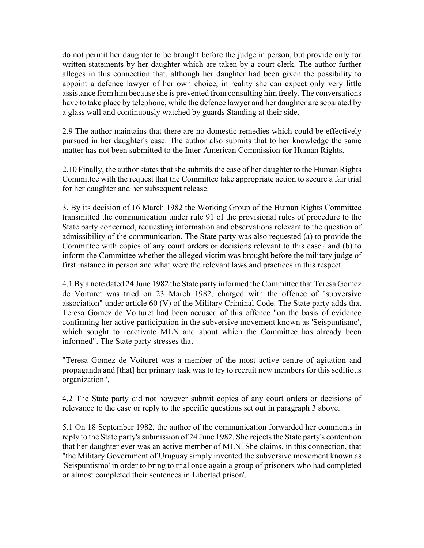do not permit her daughter to be brought before the judge in person, but provide only for written statements by her daughter which are taken by a court clerk. The author further alleges in this connection that, although her daughter had been given the possibility to appoint a defence lawyer of her own choice, in reality she can expect only very little assistance from him because she is prevented from consulting him freely. The conversations have to take place by telephone, while the defence lawyer and her daughter are separated by a glass wall and continuously watched by guards Standing at their side.

2.9 The author maintains that there are no domestic remedies which could be effectively pursued in her daughter's case. The author also submits that to her knowledge the same matter has not been submitted to the Inter-American Commission for Human Rights.

2.10 Finally, the author states that she submits the case of her daughter to the Human Rights Committee with the request that the Committee take appropriate action to secure a fair trial for her daughter and her subsequent release.

3. By its decision of 16 March 1982 the Working Group of the Human Rights Committee transmitted the communication under rule 91 of the provisional rules of procedure to the State party concerned, requesting information and observations relevant to the question of admissibility of the communication. The State party was also requested (a) to provide the Committee with copies of any court orders or decisions relevant to this case} and (b) to inform the Committee whether the alleged victim was brought before the military judge of first instance in person and what were the relevant laws and practices in this respect.

4.1 By a note dated 24 June 1982 the State party informed the Committee that Teresa Gomez de Voituret was tried on 23 March 1982, charged with the offence of "subversive association" under article 60 (V) of the Military Criminal Code. The State party adds that Teresa Gomez de Voituret had been accused of this offence "on the basis of evidence confirming her active participation in the subversive movement known as 'Seispuntismo', which sought to reactivate MLN and about which the Committee has already been informed". The State party stresses that

"Teresa Gomez de Voituret was a member of the most active centre of agitation and propaganda and [that] her primary task was to try to recruit new members for this seditious organization".

4.2 The State party did not however submit copies of any court orders or decisions of relevance to the case or reply to the specific questions set out in paragraph 3 above.

5.1 On 18 September 1982, the author of the communication forwarded her comments in reply to the State party's submission of 24 June 1982. She rejects the State party's contention that her daughter ever was an active member of MLN. She claims, in this connection, that "the Military Government of Uruguay simply invented the subversive movement known as 'Seispuntismo' in order to bring to trial once again a group of prisoners who had completed or almost completed their sentences in Libertad prison'. .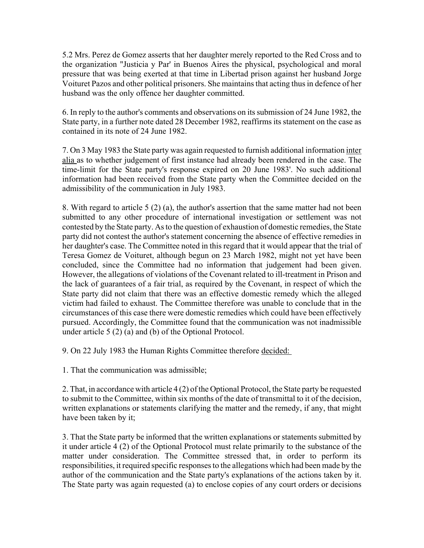5.2 Mrs. Perez de Gomez asserts that her daughter merely reported to the Red Cross and to the organization "Justicia y Par' in Buenos Aires the physical, psychological and moral pressure that was being exerted at that time in Libertad prison against her husband Jorge Voituret Pazos and other political prisoners. She maintains that acting thus in defence of her husband was the only offence her daughter committed.

6. In reply to the author's comments and observations on its submission of 24 June 1982, the State party, in a further note dated 28 December 1982, reaffirms its statement on the case as contained in its note of 24 June 1982.

7. On 3 May 1983 the State party was again requested to furnish additional information inter alia as to whether judgement of first instance had already been rendered in the case. The time-limit for the State party's response expired on 20 June 1983'. No such additional information had been received from the State party when the Committee decided on the admissibility of the communication in July 1983.

8. With regard to article 5 (2) (a), the author's assertion that the same matter had not been submitted to any other procedure of international investigation or settlement was not contested by the State party. As to the question of exhaustion of domestic remedies, the State party did not contest the author's statement concerning the absence of effective remedies in her daughter's case. The Committee noted in this regard that it would appear that the trial of Teresa Gomez de Voituret, although begun on 23 March 1982, might not yet have been concluded, since the Committee had no information that judgement had been given. However, the allegations of violations of the Covenant related to ill-treatment in Prison and the lack of guarantees of a fair trial, as required by the Covenant, in respect of which the State party did not claim that there was an effective domestic remedy which the alleged victim had failed to exhaust. The Committee therefore was unable to conclude that in the circumstances of this case there were domestic remedies which could have been effectively pursued. Accordingly, the Committee found that the communication was not inadmissible under article 5 (2) (a) and (b) of the Optional Protocol.

9. On 22 July 1983 the Human Rights Committee therefore decided:

1. That the communication was admissible;

2. That, in accordance with article 4 (2) of the Optional Protocol, the State party be requested to submit to the Committee, within six months of the date of transmittal to it of the decision, written explanations or statements clarifying the matter and the remedy, if any, that might have been taken by it;

3. That the State party be informed that the written explanations or statements submitted by it under article 4 (2) of the Optional Protocol must relate primarily to the substance of the matter under consideration. The Committee stressed that, in order to perform its responsibilities, it required specific responses to the allegations which had been made by the author of the communication and the State party's explanations of the actions taken by it. The State party was again requested (a) to enclose copies of any court orders or decisions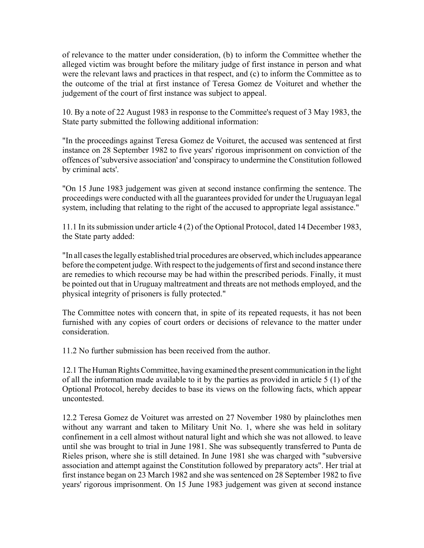of relevance to the matter under consideration, (b) to inform the Committee whether the alleged victim was brought before the military judge of first instance in person and what were the relevant laws and practices in that respect, and (c) to inform the Committee as to the outcome of the trial at first instance of Teresa Gomez de Voituret and whether the judgement of the court of first instance was subject to appeal.

10. By a note of 22 August 1983 in response to the Committee's request of 3 May 1983, the State party submitted the following additional information:

"In the proceedings against Teresa Gomez de Voituret, the accused was sentenced at first instance on 28 September 1982 to five years' rigorous imprisonment on conviction of the offences of 'subversive association' and 'conspiracy to undermine the Constitution followed by criminal acts'.

"On 15 June 1983 judgement was given at second instance confirming the sentence. The proceedings were conducted with all the guarantees provided for under the Uruguayan legal system, including that relating to the right of the accused to appropriate legal assistance."

11.1 In its submission under article 4 (2) of the Optional Protocol, dated 14 December 1983, the State party added:

"In all cases the legally established trial procedures are observed, which includes appearance before the competent judge. With respect to the judgements of first and second instance there are remedies to which recourse may be had within the prescribed periods. Finally, it must be pointed out that in Uruguay maltreatment and threats are not methods employed, and the physical integrity of prisoners is fully protected."

The Committee notes with concern that, in spite of its repeated requests, it has not been furnished with any copies of court orders or decisions of relevance to the matter under consideration.

11.2 No further submission has been received from the author.

12.1 The Human Rights Committee, having examined the present communication in the light of all the information made available to it by the parties as provided in article 5 (1) of the Optional Protocol, hereby decides to base its views on the following facts, which appear uncontested.

12.2 Teresa Gomez de Voituret was arrested on 27 November 1980 by plainclothes men without any warrant and taken to Military Unit No. 1, where she was held in solitary confinement in a cell almost without natural light and which she was not allowed. to leave until she was brought to trial in June 1981. She was subsequently transferred to Punta de Rieles prison, where she is still detained. In June 1981 she was charged with "subversive association and attempt against the Constitution followed by preparatory acts". Her trial at first instance began on 23 March 1982 and she was sentenced on 28 September 1982 to five years' rigorous imprisonment. On 15 June 1983 judgement was given at second instance